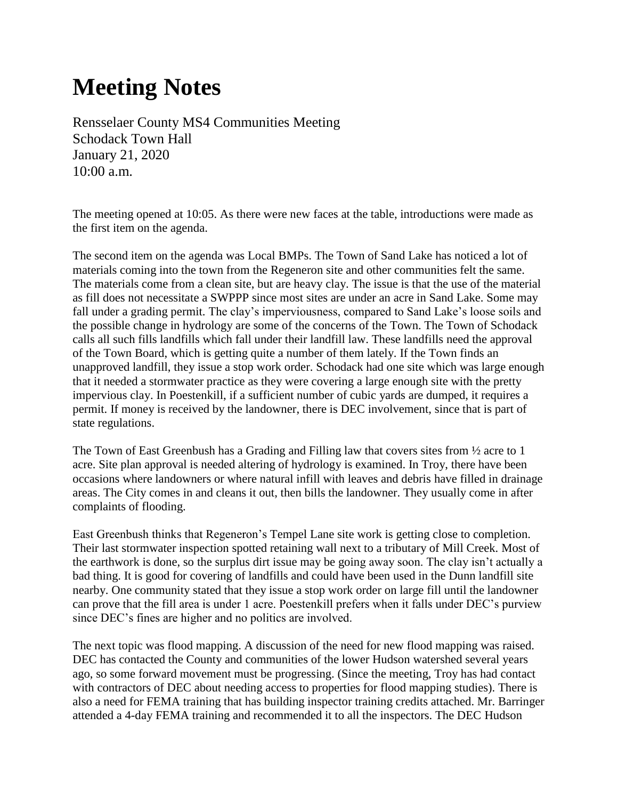# **Meeting Notes**

Rensselaer County MS4 Communities Meeting Schodack Town Hall January 21, 2020 10:00 a.m.

The meeting opened at 10:05. As there were new faces at the table, introductions were made as the first item on the agenda.

The second item on the agenda was Local BMPs. The Town of Sand Lake has noticed a lot of materials coming into the town from the Regeneron site and other communities felt the same. The materials come from a clean site, but are heavy clay. The issue is that the use of the material as fill does not necessitate a SWPPP since most sites are under an acre in Sand Lake. Some may fall under a grading permit. The clay's imperviousness, compared to Sand Lake's loose soils and the possible change in hydrology are some of the concerns of the Town. The Town of Schodack calls all such fills landfills which fall under their landfill law. These landfills need the approval of the Town Board, which is getting quite a number of them lately. If the Town finds an unapproved landfill, they issue a stop work order. Schodack had one site which was large enough that it needed a stormwater practice as they were covering a large enough site with the pretty impervious clay. In Poestenkill, if a sufficient number of cubic yards are dumped, it requires a permit. If money is received by the landowner, there is DEC involvement, since that is part of state regulations.

The Town of East Greenbush has a Grading and Filling law that covers sites from  $\frac{1}{2}$  acre to 1 acre. Site plan approval is needed altering of hydrology is examined. In Troy, there have been occasions where landowners or where natural infill with leaves and debris have filled in drainage areas. The City comes in and cleans it out, then bills the landowner. They usually come in after complaints of flooding.

East Greenbush thinks that Regeneron's Tempel Lane site work is getting close to completion. Their last stormwater inspection spotted retaining wall next to a tributary of Mill Creek. Most of the earthwork is done, so the surplus dirt issue may be going away soon. The clay isn't actually a bad thing. It is good for covering of landfills and could have been used in the Dunn landfill site nearby. One community stated that they issue a stop work order on large fill until the landowner can prove that the fill area is under 1 acre. Poestenkill prefers when it falls under DEC's purview since DEC's fines are higher and no politics are involved.

The next topic was flood mapping. A discussion of the need for new flood mapping was raised. DEC has contacted the County and communities of the lower Hudson watershed several years ago, so some forward movement must be progressing. (Since the meeting, Troy has had contact with contractors of DEC about needing access to properties for flood mapping studies). There is also a need for FEMA training that has building inspector training credits attached. Mr. Barringer attended a 4-day FEMA training and recommended it to all the inspectors. The DEC Hudson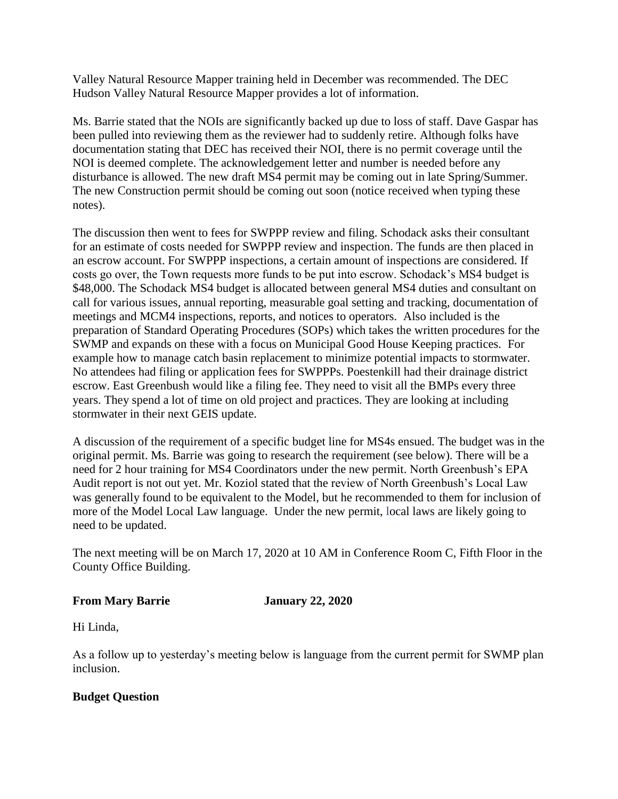Valley Natural Resource Mapper training held in December was recommended. The DEC Hudson Valley Natural Resource Mapper provides a lot of information.

Ms. Barrie stated that the NOIs are significantly backed up due to loss of staff. Dave Gaspar has been pulled into reviewing them as the reviewer had to suddenly retire. Although folks have documentation stating that DEC has received their NOI, there is no permit coverage until the NOI is deemed complete. The acknowledgement letter and number is needed before any disturbance is allowed. The new draft MS4 permit may be coming out in late Spring/Summer. The new Construction permit should be coming out soon (notice received when typing these notes).

The discussion then went to fees for SWPPP review and filing. Schodack asks their consultant for an estimate of costs needed for SWPPP review and inspection. The funds are then placed in an escrow account. For SWPPP inspections, a certain amount of inspections are considered. If costs go over, the Town requests more funds to be put into escrow. Schodack's MS4 budget is \$48,000. The Schodack MS4 budget is allocated between general MS4 duties and consultant on call for various issues, annual reporting, measurable goal setting and tracking, documentation of meetings and MCM4 inspections, reports, and notices to operators. Also included is the preparation of Standard Operating Procedures (SOPs) which takes the written procedures for the SWMP and expands on these with a focus on Municipal Good House Keeping practices. For example how to manage catch basin replacement to minimize potential impacts to stormwater. No attendees had filing or application fees for SWPPPs. Poestenkill had their drainage district escrow. East Greenbush would like a filing fee. They need to visit all the BMPs every three years. They spend a lot of time on old project and practices. They are looking at including stormwater in their next GEIS update.

A discussion of the requirement of a specific budget line for MS4s ensued. The budget was in the original permit. Ms. Barrie was going to research the requirement (see below). There will be a need for 2 hour training for MS4 Coordinators under the new permit. North Greenbush's EPA Audit report is not out yet. Mr. Koziol stated that the review of North Greenbush's Local Law was generally found to be equivalent to the Model, but he recommended to them for inclusion of more of the Model Local Law language. Under the new permit, local laws are likely going to need to be updated.

The next meeting will be on March 17, 2020 at 10 AM in Conference Room C, Fifth Floor in the County Office Building.

### **From Mary Barrie January 22, 2020**

Hi Linda,

As a follow up to yesterday's meeting below is language from the current permit for SWMP plan inclusion.

## **Budget Question**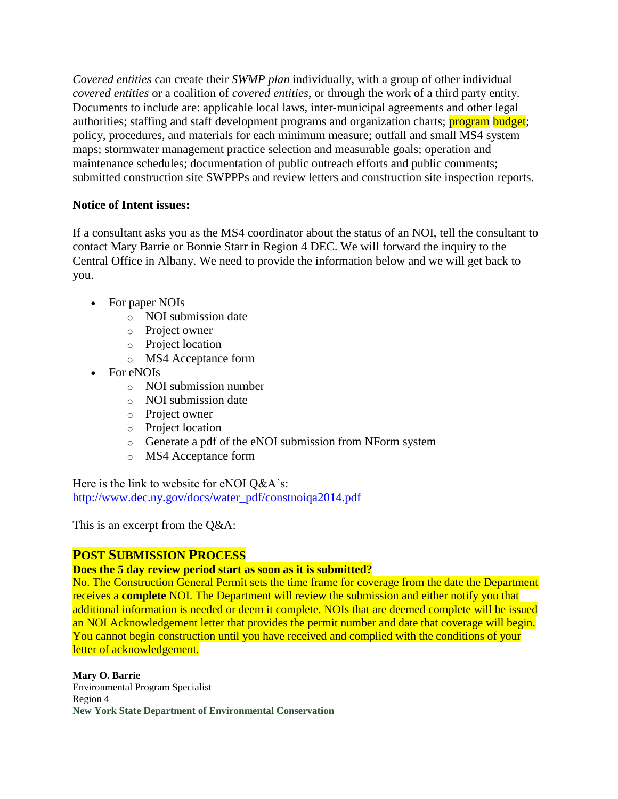*Covered entities* can create their *SWMP plan* individually, with a group of other individual *covered entities* or a coalition of *covered entities*, or through the work of a third party entity. Documents to include are: applicable local laws, inter-municipal agreements and other legal authorities; staffing and staff development programs and organization charts; program budget; policy, procedures, and materials for each minimum measure; outfall and small MS4 system maps; stormwater management practice selection and measurable goals; operation and maintenance schedules; documentation of public outreach efforts and public comments; submitted construction site SWPPPs and review letters and construction site inspection reports.

## **Notice of Intent issues:**

If a consultant asks you as the MS4 coordinator about the status of an NOI, tell the consultant to contact Mary Barrie or Bonnie Starr in Region 4 DEC. We will forward the inquiry to the Central Office in Albany. We need to provide the information below and we will get back to you.

- For paper NOIs
	- o NOI submission date
	- o Project owner
	- o Project location
	- o MS4 Acceptance form
- For eNOIs
	- o NOI submission number
	- o NOI submission date
	- o Project owner
	- o Project location
	- o Generate a pdf of the eNOI submission from NForm system
	- o MS4 Acceptance form

Here is the link to website for eNOI O&A's: [http://www.dec.ny.gov/docs/water\\_pdf/constnoiqa2014.pdf](http://www.dec.ny.gov/docs/water_pdf/constnoiqa2014.pdf)

This is an excerpt from the Q&A:

# **POST SUBMISSION PROCESS**

## **Does the 5 day review period start as soon as it is submitted?**

No. The Construction General Permit sets the time frame for coverage from the date the Department receives a **complete** NOI. The Department will review the submission and either notify you that additional information is needed or deem it complete. NOIs that are deemed complete will be issued an NOI Acknowledgement letter that provides the permit number and date that coverage will begin. You cannot begin construction until you have received and complied with the conditions of your letter of acknowledgement.

**Mary O. Barrie** Environmental Program Specialist Region 4 **New York State Department of Environmental Conservation**